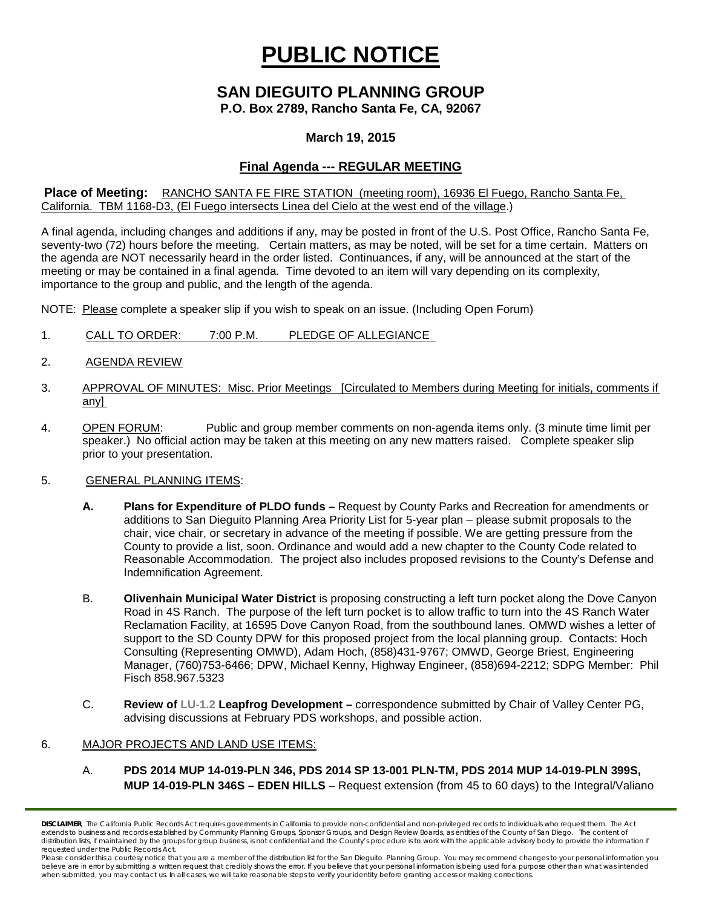# **PUBLIC NOTICE**

# **SAN DIEGUITO PLANNING GROUP P.O. Box 2789, Rancho Santa Fe, CA, 92067**

## **March 19, 2015**

# **Final Agenda --- REGULAR MEETING**

#### **Place of Meeting:** RANCHO SANTA FE FIRE STATION (meeting room), 16936 El Fuego, Rancho Santa Fe, California. TBM 1168-D3, (El Fuego intersects Linea del Cielo at the west end of the village.)

A final agenda, including changes and additions if any, may be posted in front of the U.S. Post Office, Rancho Santa Fe, seventy-two (72) hours before the meeting. Certain matters, as may be noted, will be set for a time certain. Matters on the agenda are NOT necessarily heard in the order listed. Continuances, if any, will be announced at the start of the meeting or may be contained in a final agenda. Time devoted to an item will vary depending on its complexity, importance to the group and public, and the length of the agenda.

NOTE: Please complete a speaker slip if you wish to speak on an issue. (Including Open Forum)

- 1. CALL TO ORDER: 7:00 P.M. PLEDGE OF ALLEGIANCE
- 2. AGENDA REVIEW
- 3. APPROVAL OF MINUTES: Misc. Prior Meetings [Circulated to Members during Meeting for initials, comments if any]
- 4. OPEN FORUM: Public and group member comments on non-agenda items only. (3 minute time limit per speaker.) No official action may be taken at this meeting on any new matters raised. Complete speaker slip prior to your presentation.

### 5. GENERAL PLANNING ITEMS:

- **A. Plans for Expenditure of PLDO funds –** Request by County Parks and Recreation for amendments or additions to San Dieguito Planning Area Priority List for 5-year plan – please submit proposals to the chair, vice chair, or secretary in advance of the meeting if possible. We are getting pressure from the County to provide a list, soon. Ordinance and would add a new chapter to the County Code related to Reasonable Accommodation. The project also includes proposed revisions to the County's Defense and Indemnification Agreement.
- B. **Olivenhain Municipal Water District** is proposing constructing a left turn pocket along the Dove Canyon Road in 4S Ranch. The purpose of the left turn pocket is to allow traffic to turn into the 4S Ranch Water Reclamation Facility, at 16595 Dove Canyon Road, from the southbound lanes. OMWD wishes a letter of support to the SD County DPW for this proposed project from the local planning group. Contacts: Hoch Consulting (Representing OMWD), Adam Hoch, (858)431-9767; OMWD, George Briest, Engineering Manager, (760)753-6466; DPW, Michael Kenny, Highway Engineer, (858)694-2212; SDPG Member: Phil Fisch 858.967.5323
- C. **Review of LU‐1.2 Leapfrog Development –** correspondence submitted by Chair of Valley Center PG, advising discussions at February PDS workshops, and possible action.

#### 6. MAJOR PROJECTS AND LAND USE ITEMS:

A. **PDS 2014 MUP 14-019-PLN 346, PDS 2014 SP 13-001 PLN-TM, PDS 2014 MUP 14-019-PLN 399S, MUP 14-019-PLN 346S – EDEN HILLS** – Request extension (from 45 to 60 days) to the Integral/Valiano

*DISCLAIMER; The California Public Records Act requires governments in California to provide non-confidential and non-privileged records to individuals who request them. The Act*  extends to business and records established by Community Planning Groups, Sponsor Groups, and Design Review Boards, as entities of the County of San Diego. The content of distribution lists, if maintained by the groups for group business, is not confidential and the County's procedure is to work with the applicable advisory body to provide the information if *requested under the Public Records Act.*

Please consider this a courtesy notice that you are a member of the distribution list for the San Dieguito Planning Group. You may recommend changes to your personal information you believe are in error by submitting a written request that credibly shows the error. If you believe that your personal information is being used for a purpose other than what was intended<br>when submitted, you may contact us.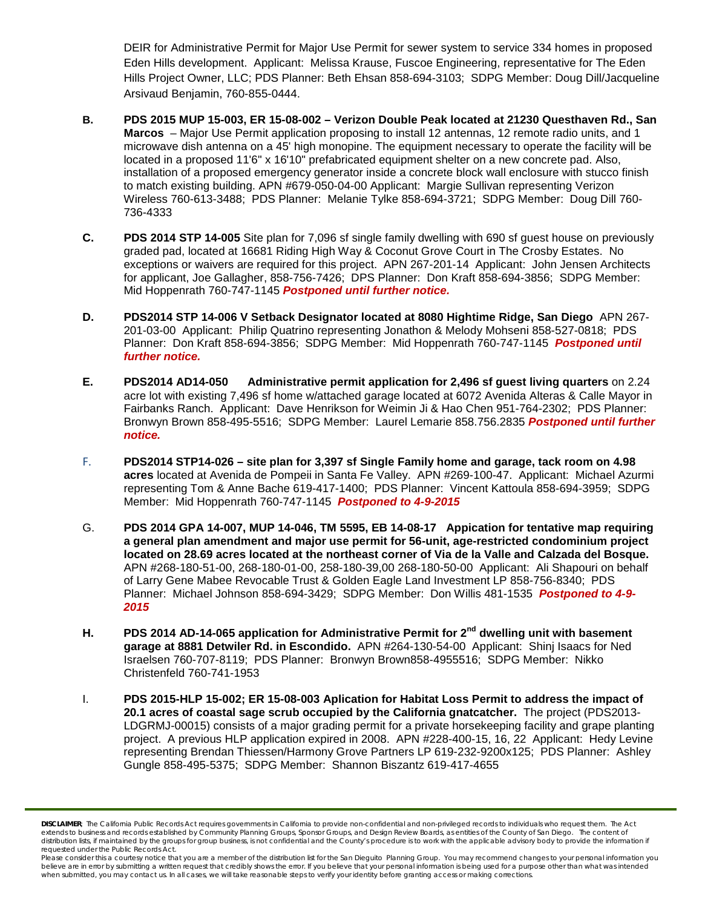DEIR for Administrative Permit for Major Use Permit for sewer system to service 334 homes in proposed Eden Hills development. Applicant: Melissa Krause, Fuscoe Engineering, representative for The Eden Hills Project Owner, LLC; PDS Planner: Beth Ehsan 858-694-3103; SDPG Member: Doug Dill/Jacqueline Arsivaud Benjamin, 760-855-0444.

- **B. PDS 2015 MUP 15-003, ER 15-08-002 – Verizon Double Peak located at 21230 Questhaven Rd., San Marcos** – Major Use Permit application proposing to install 12 antennas, 12 remote radio units, and 1 microwave dish antenna on a 45' high monopine. The equipment necessary to operate the facility will be located in a proposed 11'6" x 16'10" prefabricated equipment shelter on a new concrete pad. Also, installation of a proposed emergency generator inside a concrete block wall enclosure with stucco finish to match existing building. APN #679-050-04-00 Applicant: Margie Sullivan representing Verizon Wireless 760-613-3488; PDS Planner: Melanie Tylke 858-694-3721; SDPG Member: Doug Dill 760- 736-4333
- **C. PDS 2014 STP 14-005** Site plan for 7,096 sf single family dwelling with 690 sf guest house on previously graded pad, located at 16681 Riding High Way & Coconut Grove Court in The Crosby Estates. No exceptions or waivers are required for this project. APN 267-201-14 Applicant: John Jensen Architects for applicant, Joe Gallagher, 858-756-7426; DPS Planner: Don Kraft 858-694-3856; SDPG Member: Mid Hoppenrath 760-747-1145 *Postponed until further notice.*
- **D. PDS2014 STP 14-006 V Setback Designator located at 8080 Hightime Ridge, San Diego** APN 267- 201-03-00 Applicant: Philip Quatrino representing Jonathon & Melody Mohseni 858-527-0818; PDS Planner: Don Kraft 858-694-3856; SDPG Member: Mid Hoppenrath 760-747-1145 *Postponed until further notice.*
- **E. PDS2014 AD14-050 Administrative permit application for 2,496 sf guest living quarters** on 2.24 acre lot with existing 7,496 sf home w/attached garage located at 6072 Avenida Alteras & Calle Mayor in Fairbanks Ranch. Applicant: Dave Henrikson for Weimin Ji & Hao Chen 951-764-2302; PDS Planner: Bronwyn Brown 858-495-5516; SDPG Member: Laurel Lemarie 858.756.2835 *Postponed until further notice.*
- F. **PDS2014 STP14-026 – site plan for 3,397 sf Single Family home and garage, tack room on 4.98 acres** located at Avenida de Pompeii in Santa Fe Valley. APN #269-100-47. Applicant: Michael Azurmi representing Tom & Anne Bache 619-417-1400; PDS Planner: Vincent Kattoula 858-694-3959; SDPG Member: Mid Hoppenrath 760-747-1145 *Postponed to 4-9-2015*
- G. **PDS 2014 GPA 14-007, MUP 14-046, TM 5595, EB 14-08-17 Appication for tentative map requiring a general plan amendment and major use permit for 56-unit, age-restricted condominium project located on 28.69 acres located at the northeast corner of Via de la Valle and Calzada del Bosque.**  APN #268-180-51-00, 268-180-01-00, 258-180-39,00 268-180-50-00 Applicant: Ali Shapouri on behalf of Larry Gene Mabee Revocable Trust & Golden Eagle Land Investment LP 858-756-8340; PDS Planner: Michael Johnson 858-694-3429; SDPG Member: Don Willis 481-1535 *Postponed to 4-9- 2015*
- **H. PDS 2014 AD-14-065 application for Administrative Permit for 2nd dwelling unit with basement garage at 8881 Detwiler Rd. in Escondido.** APN #264-130-54-00 Applicant: Shinj Isaacs for Ned Israelsen 760-707-8119; PDS Planner: Bronwyn Brown858-4955516; SDPG Member: Nikko Christenfeld 760-741-1953
- I. **PDS 2015-HLP 15-002; ER 15-08-003 Aplication for Habitat Loss Permit to address the impact of 20.1 acres of coastal sage scrub occupied by the California gnatcatcher.** The project (PDS2013- LDGRMJ-00015) consists of a major grading permit for a private horsekeeping facility and grape planting project. A previous HLP application expired in 2008. APN #228-400-15, 16, 22 Applicant: Hedy Levine representing Brendan Thiessen/Harmony Grove Partners LP 619-232-9200x125; PDS Planner: Ashley Gungle 858-495-5375; SDPG Member: Shannon Biszantz 619-417-4655

*DISCLAIMER; The California Public Records Act requires governments in California to provide non-confidential and non-privileged records to individuals who request them. The Act*  extends to business and records established by Community Planning Groups, Sponsor Groups, and Design Review Boards, as entities of the County of San Diego. The content of distribution lists, if maintained by the groups for group business, is not confidential and the County's procedure is to work with the applicable advisory body to provide the information if *requested under the Public Records Act.*

*Please consider this a courtesy notice that you are a member of the distribution list for the San Dieguito Planning Group. You may recommend changes to your personal information you*  believe are in error by submitting a written request that credibly shows the error. If you believe that your personal information is being used for a purpose other than what was intended<br>when submitted, you may contact us.